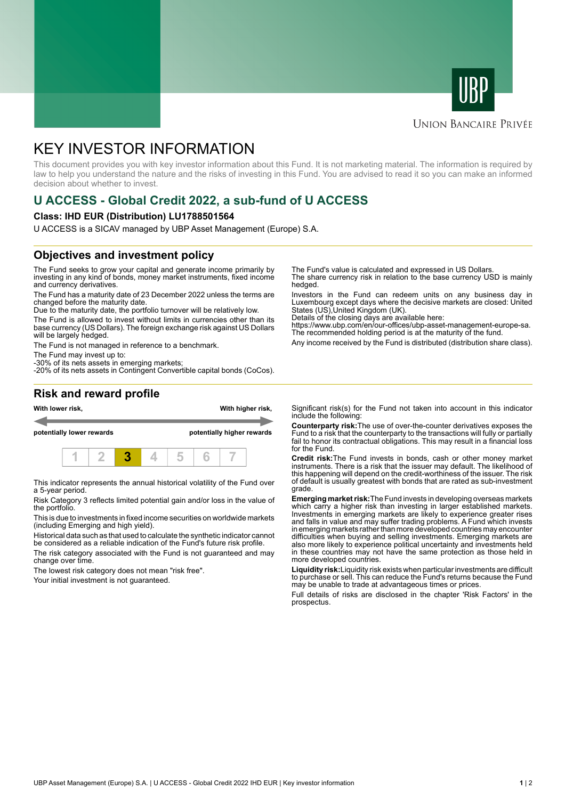



#### **UNION BANCAIRE PRIVÉE**

# KEY INVESTOR INFORMATION

This document provides you with key investor information about this Fund. It is not marketing material. The information is required by law to help you understand the nature and the risks of investing in this Fund. You are advised to read it so you can make an informed decision about whether to invest.

## **U ACCESS - Global Credit 2022, a sub-fund of U ACCESS**

#### **Class: IHD EUR (Distribution) LU1788501564**

U ACCESS is a SICAV managed by UBP Asset Management (Europe) S.A.

### **Objectives and investment policy**

The Fund seeks to grow your capital and generate income primarily by investing in any kind of bonds, money market instruments, fixed income and currency derivatives.

The Fund has a maturity date of 23 December 2022 unless the terms are changed before the maturity date.

Due to the maturity date, the portfolio turnover will be relatively low.

The Fund is allowed to invest without limits in currencies other than its base currency (US Dollars). The foreign exchange risk against US Dollars will be largely hedged.

The Fund is not managed in reference to a benchmark.

The Fund may invest up to:

-30% of its nets assets in emerging markets; -20% of its nets assets in Contingent Convertible capital bonds (CoCos). The Fund's value is calculated and expressed in US Dollars.

The share currency risk in relation to the base currency USD is mainly hedged.

Investors in the Fund can redeem units on any business day in Luxembourg except days where the decisive markets are closed: United States (US),United Kingdom (UK).

Details of the closing days are available here:

https://www.ubp.com/en/our-offices/ubp-asset-management-europe-sa. The recommended holding period is at the maturity of the fund.

Any income received by the Fund is distributed (distribution share class).

#### **Risk and reward profile**



This indicator represents the annual historical volatility of the Fund over a 5-year period.

Risk Category 3 reflects limited potential gain and/or loss in the value of the portfolio.

This is due to investments in fixed income securities on worldwide markets (including Emerging and high yield).

Historical data such as that used to calculate the synthetic indicator cannot be considered as a reliable indication of the Fund's future risk profile.

The risk category associated with the Fund is not guaranteed and may change over time.

The lowest risk category does not mean "risk free".

Your initial investment is not guaranteed.

Significant risk(s) for the Fund not taken into account in this indicator include the following:

**Counterparty risk:**The use of over-the-counter derivatives exposes the Fund to a risk that the counterparty to the transactions will fully or partially fail to honor its contractual obligations. This may result in a financial loss for the Fund.

**Credit risk:**The Fund invests in bonds, cash or other money market instruments. There is a risk that the issuer may default. The likelihood of this happening will depend on the credit-worthiness of the issuer. The risk of default is usually greatest with bonds that are rated as sub-investment grade.

**Emerging market risk:**The Fund invests in developing overseas markets which carry a higher risk than investing in larger established markets. Investments in emerging markets are likely to experience greater rises and falls in value and may suffer trading problems. A Fund which invests in emerging markets rather than more developed countries may encounter difficulties when buying and selling investments. Emerging markets are also more likely to experience political uncertainty and investments held in these countries may not have the same protection as those held in more developed countries.

**Liquidity risk:**Liquidity risk exists when particular investments are difficult to purchase or sell. This can reduce the Fund's returns because the Fund may be unable to trade at advantageous times or prices

Full details of risks are disclosed in the chapter 'Risk Factors' in the prospectus.